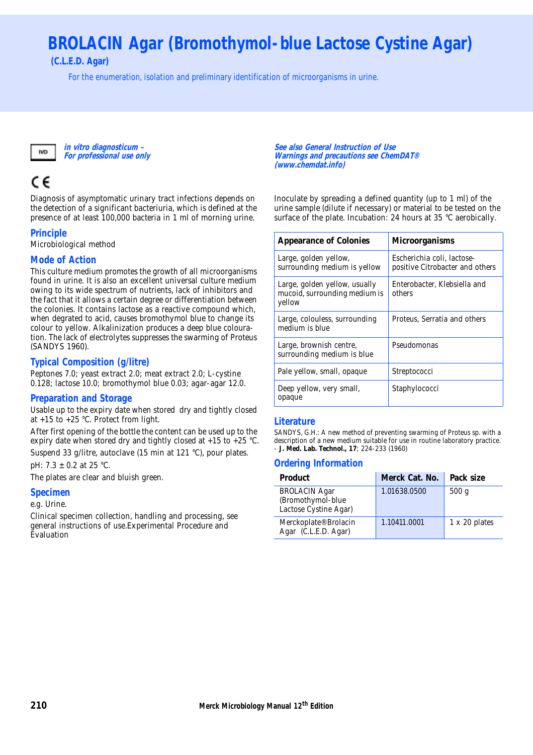# **BROLACIN Agar (Bromothymol-blue Lactose Cystine Agar)**

**(C.L.E.D. Agar)**

For the enumeration, isolation and preliminary identification of microorganisms in urine.



**in vitro diagnosticum – For professional use only**

## C€

Diagnosis of asymptomatic urinary tract infections depends on the detection of a significant bacteriuria, which is defined at the presence of at least 100,000 bacteria in 1 ml of morning urine.

#### **Principle**

Microbiological method

#### **Mode of Action**

This culture medium promotes the growth of all microorganisms found in urine. It is also an excellent universal culture medium owing to its wide spectrum of nutrients, lack of inhibitors and the fact that it allows a certain degree or differentiation between the colonies. It contains lactose as a reactive compound which, when degrated to acid, causes bromothymol blue to change its colour to yellow. Alkalinization produces a deep blue colouration. The lack of electrolytes suppresses the swarming of Proteus (SANDYS 1960).

#### **Typical Composition (g/litre)**

Peptones 7.0; yeast extract 2.0; meat extract 2.0; L-cystine 0.128; lactose 10.0; bromothymol blue 0.03; agar-agar 12.0.

#### **Preparation and Storage**

Usable up to the expiry date when stored dry and tightly closed at +15 to +25 °C. Protect from light.

After first opening of the bottle the content can be used up to the expiry date when stored dry and tightly closed at +15 to +25 °C. Suspend 33 g/litre, autoclave (15 min at 121 °C), pour plates.

pH: 7.3 ± 0.2 at 25 °C.

The plates are clear and bluish green.

#### **Specimen**

e.g. Urine.

Clinical specimen collection, handling and processing, see general instructions of use.Experimental Procedure and Evaluation

**See also General Instruction of Use Warnings and precautions see ChemDAT® (www.chemdat.info)** 

Inoculate by spreading a defined quantity (up to 1 ml) of the urine sample (dilute if necessary) or material to be tested on the surface of the plate. Incubation: 24 hours at 35 °C aerobically.

| Appearance of Colonies                                                   | Microorganisms                                                |
|--------------------------------------------------------------------------|---------------------------------------------------------------|
| Large, golden yellow,<br>surrounding medium is yellow                    | Escherichia coli, lactose-<br>positive Citrobacter and others |
| Large, golden yellow, usually<br>mucoid, surrounding medium is<br>yellow | Enterobacter, Klebsiella and<br>others                        |
| Large, colouless, surrounding<br>medium is blue                          | Proteus, Serratia and others                                  |
| Large, brownish centre,<br>surrounding medium is blue                    | Pseudomonas                                                   |
| Pale yellow, small, opaque                                               | Streptococci                                                  |
| Deep yellow, very small,<br>opaque                                       | Staphylococci                                                 |

#### **Literature**

SANDYS, G.H.: A new method of preventing swarming of Proteus sp. with a description of a new medium suitable for use in routine laboratory practice. - **J. Med. Lab. Technol., 17**; 224-233 (1960)

#### **Ordering Information**

| Product                                                            | Merck Cat. No. | Pack size     |
|--------------------------------------------------------------------|----------------|---------------|
| <b>BROLACIN Agar</b><br>(Bromothymol-blue<br>Lactose Cystine Agar) | 1.01638.0500   | 500q          |
| Merckoplate® Brolacin<br>Agar (C.L.E.D. Agar)                      | 1.10411.0001   | 1 x 20 plates |